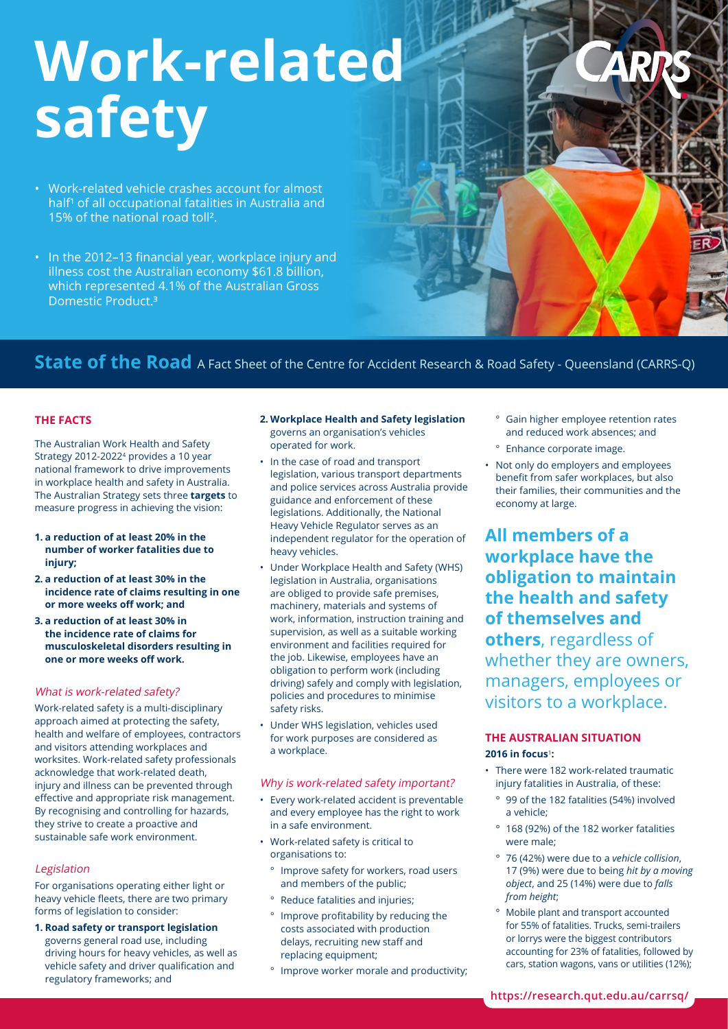# **Work-related safety**

- Work-related vehicle crashes account for almost half<sup>1</sup> of all occupational fatalities in Australia and 15% of the national road toll².
- In the 2012–13 financial year, workplace injury and illness cost the Australian economy \$61.8 billion, which represented 4.1% of the Australian Gross Domestic Product.³

# **State of the Road** A Fact Sheet of the Centre for Accident Research & Road Safety - Queensland (CARRS-Q)

## **THE FACTS**

The Australian Work Health and Safety Strategy 2012-20224 provides a 10 year national framework to drive improvements in workplace health and safety in Australia. The Australian Strategy sets three **targets** to measure progress in achieving the vision:

- **1. a reduction of at least 20% in the number of worker fatalities due to injury;**
- **2. a reduction of at least 30% in the incidence rate of claims resulting in one or more weeks off work; and**
- **3. a reduction of at least 30% in the incidence rate of claims for musculoskeletal disorders resulting in one or more weeks off work.**

## What is work-related safety?

Work-related safety is a multi-disciplinary approach aimed at protecting the safety, health and welfare of employees, contractors and visitors attending workplaces and worksites. Work-related safety professionals acknowledge that work-related death, injury and illness can be prevented through effective and appropriate risk management. By recognising and controlling for hazards, they strive to create a proactive and sustainable safe work environment.

## Legislation

For organisations operating either light or heavy vehicle fleets, there are two primary forms of legislation to consider:

**1. Road safety or transport legislation** governs general road use, including driving hours for heavy vehicles, as well as vehicle safety and driver qualification and regulatory frameworks; and

- **2. Workplace Health and Safety legislation** governs an organisation's vehicles operated for work.
- In the case of road and transport legislation, various transport departments and police services across Australia provide guidance and enforcement of these legislations. Additionally, the National Heavy Vehicle Regulator serves as an independent regulator for the operation of heavy vehicles.
- Under Workplace Health and Safety (WHS) legislation in Australia, organisations are obliged to provide safe premises, machinery, materials and systems of work, information, instruction training and supervision, as well as a suitable working environment and facilities required for the job. Likewise, employees have an obligation to perform work (including driving) safely and comply with legislation, policies and procedures to minimise safety risks.
- Under WHS legislation, vehicles used for work purposes are considered as a workplace.

## Why is work-related safety important?

- Every work-related accident is preventable and every employee has the right to work in a safe environment.
- Work-related safety is critical to organisations to:
	- Improve safety for workers, road users and members of the public;
	- ° Reduce fatalities and injuries;
	- Improve profitability by reducing the costs associated with production delays, recruiting new staff and replacing equipment;
	- ° Improve worker morale and productivity;
- ° Gain higher employee retention rates and reduced work absences; and
- ° Enhance corporate image.
- Not only do employers and employees benefit from safer workplaces, but also their families, their communities and the economy at large.

**All members of a workplace have the obligation to maintain the health and safety of themselves and others**, regardless of whether they are owners, managers, employees or visitors to a workplace.

## **THE AUSTRALIAN SITUATION 2016 in focus**<sup>1</sup>**:**

- There were 182 work-related traumatic injury fatalities in Australia, of these:
	- ° 99 of the 182 fatalities (54%) involved a vehicle;
	- ° 168 (92%) of the 182 worker fatalities were male;
	- ° 76 (42%) were due to a *vehicle collision*, 17 (9%) were due to being *hit by a moving object*, and 25 (14%) were due to *falls from height*;
	- ° Mobile plant and transport accounted for 55% of fatalities. Trucks, semi-trailers or lorrys were the biggest contributors accounting for 23% of fatalities, followed by cars, station wagons, vans or utilities (12%);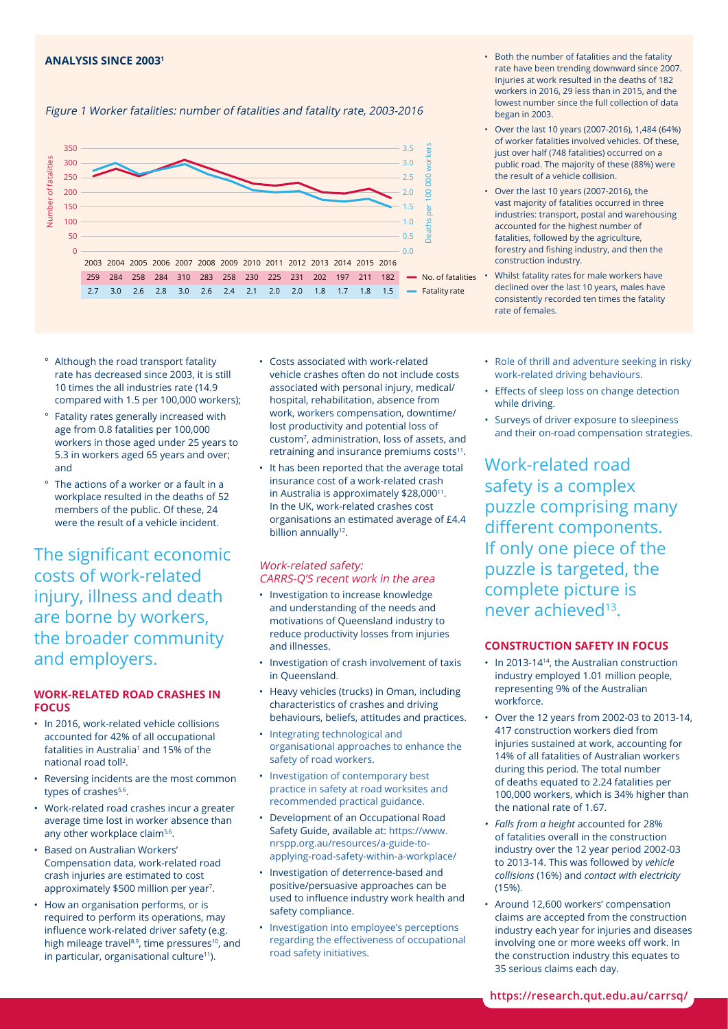## **ANALYSIS SINCE 20031**

#### Figure 1 Worker fatalities: number of fatalities and fatality rate, 2003-2016



- Both the number of fatalities and the fatality rate have been trending downward since 2007. Injuries at work resulted in the deaths of 182 workers in 2016, 29 less than in 2015, and the lowest number since the full collection of data began in 2003.
- Over the last 10 years (2007-2016), 1,484 (64%) of worker fatalities involved vehicles. Of these, just over half (748 fatalities) occurred on a public road. The majority of these (88%) were the result of a vehicle collision.
- Over the last 10 years (2007-2016), the vast majority of fatalities occurred in three industries: transport, postal and warehousing accounted for the highest number of fatalities, followed by the agriculture, forestry and fishing industry, and then the construction industry.
- Whilst fatality rates for male workers have declined over the last 10 years, males have consistently recorded ten times the fatality rate of females.

- ° Although the road transport fatality rate has decreased since 2003, it is still 10 times the all industries rate (14.9 compared with 1.5 per 100,000 workers);
- ° Fatality rates generally increased with age from 0.8 fatalities per 100,000 workers in those aged under 25 years to 5.3 in workers aged 65 years and over; and
- ° The actions of a worker or a fault in a workplace resulted in the deaths of 52 members of the public. Of these, 24 were the result of a vehicle incident.

# The significant economic costs of work-related injury, illness and death are borne by workers, the broader community and employers.

## **WORK-RELATED ROAD CRASHES IN FOCUS**

- In 2016, work-related vehicle collisions accounted for 42% of all occupational fatalities in Australia<sup>1</sup> and 15% of the national road toll2.
- Reversing incidents are the most common types of crashes<sup>5,6</sup>.
- Work-related road crashes incur a greater average time lost in worker absence than any other workplace claim<sup>5,6</sup>.
- Based on Australian Workers' Compensation data, work-related road crash injuries are estimated to cost approximately \$500 million per year<sup>7</sup>.
- How an organisation performs, or is required to perform its operations, may influence work-related driver safety (e.g. high mileage travel<sup>8,9</sup>, time pressures<sup>10</sup>, and in particular, organisational culture<sup>11</sup>).
- Costs associated with work-related vehicle crashes often do not include costs associated with personal injury, medical/ hospital, rehabilitation, absence from work, workers compensation, downtime/ lost productivity and potential loss of custom7, administration, loss of assets, and retraining and insurance premiums costs<sup>11</sup>.
- It has been reported that the average total insurance cost of a work-related crash in Australia is approximately \$28,000<sup>11</sup>. In the UK, work-related crashes cost organisations an estimated average of £4.4 billion annually<sup>12</sup>.

## Work-related safety: CARRS-Q'S recent work in the area

- Investigation to increase knowledge and understanding of the needs and motivations of Queensland industry to reduce productivity losses from injuries and illnesses.
- Investigation of crash involvement of taxis in Queensland.
- Heavy vehicles (trucks) in Oman, including characteristics of crashes and driving behaviours, beliefs, attitudes and practices.
- [Integrating technological and](https://eprints.qut.edu.au/98540/)  [organisational approaches to enhance the](https://eprints.qut.edu.au/98540/)  [safety of road workers](https://eprints.qut.edu.au/98540/).
- [Investigation of contemporary best](https://www.onlinepublications.austroads.com.au/items/AP-R544-17)  [practice in safety at road worksites and](https://www.onlinepublications.austroads.com.au/items/AP-R544-17)  [recommended practical guidance](https://www.onlinepublications.austroads.com.au/items/AP-R544-17).
- Development of an Occupational Road Safety Guide, available at: [https://www.](https://www.nrspp.org.au/resources/a-guide-to-applying-road-safety-within-a-workplace/) [nrspp.org.au/resources/a-guide-to](https://www.nrspp.org.au/resources/a-guide-to-applying-road-safety-within-a-workplace/)[applying-road-safety-within-a-workplace/](https://www.nrspp.org.au/resources/a-guide-to-applying-road-safety-within-a-workplace/)
- Investigation of deterrence-based and positive/persuasive approaches can be used to influence industry work health and safety compliance.
- [Investigation into employee's perceptions](https://eprints.qut.edu.au/93804/)  [regarding the effectiveness of occupational](https://eprints.qut.edu.au/93804/)  [road safety initiatives.](https://eprints.qut.edu.au/93804/)
- [Role of thrill and adventure seeking in risky](https://eprints.qut.edu.au/99491/)  [work-related driving behaviours.](https://eprints.qut.edu.au/99491/)
- [Effects of sleep loss on change detection](https://eprints.qut.edu.au/108996/)  [while driving](https://eprints.qut.edu.au/108996/).
- [Surveys of driver exposure to sleepiness](http://www.sciencedirect.com/science/article/pii/S0001457515300567)  [and their on-road compensation strategies.](http://www.sciencedirect.com/science/article/pii/S0001457515300567)

Work-related road safety is a complex puzzle comprising many different components. If only one piece of the puzzle is targeted, the complete picture is never achieved13.

## **CONSTRUCTION SAFETY IN FOCUS**

- In 2013-1414, the Australian construction industry employed 1.01 million people, representing 9% of the Australian workforce.
- Over the 12 years from 2002-03 to 2013‑14, 417 construction workers died from injuries sustained at work, accounting for 14% of all fatalities of Australian workers during this period. The total number of deaths equated to 2.24 fatalities per 100,000 workers, which is 34% higher than the national rate of 1.67.
- *• Falls from a height* accounted for 28% of fatalities overall in the construction industry over the 12 year period 2002-03 to 2013-14. This was followed by *vehicle collisions* (16%) and *contact with electricity* (15%).
- Around 12,600 workers' compensation claims are accepted from the construction industry each year for injuries and diseases involving one or more weeks off work. In the construction industry this equates to 35 serious claims each day.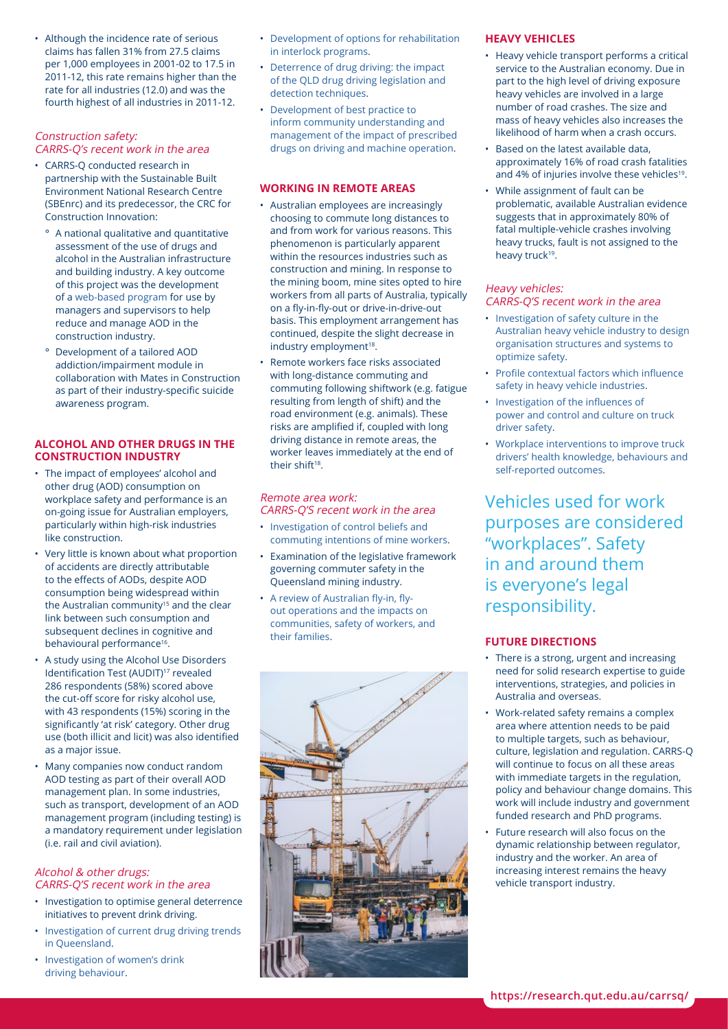• Although the incidence rate of serious claims has fallen 31% from 27.5 claims per 1,000 employees in 2001-02 to 17.5 in 2011-12, this rate remains higher than the rate for all industries (12.0) and was the fourth highest of all industries in 2011-12.

## Construction safety:

CARRS-Q's recent work in the area

- CARRS-Q conducted research in partnership with the Sustainable Built Environment National Research Centre (SBEnrc) and its predecessor, the CRC for Construction Innovation:
	- ° A national qualitative and quantitative assessment of the use of drugs and alcohol in the Australian infrastructure and building industry. A key outcome of this project was the development of a [web-based program f](http://www.safeconstruction.org.au/)or use by managers and supervisors to help reduce and manage AOD in the construction industry.
	- ° Development of a tailored AOD addiction/impairment module in collaboration with Mates in Construction as part of their industry-specific suicide awareness program.

## **ALCOHOL AND OTHER DRUGS IN THE CONSTRUCTION INDUSTRY**

- The impact of employees' alcohol and other drug (AOD) consumption on workplace safety and performance is an on-going issue for Australian employers, particularly within high-risk industries like construction.
- Very little is known about what proportion of accidents are directly attributable to the effects of AODs, despite AOD consumption being widespread within the Australian community<sup>15</sup> and the clear link between such consumption and subsequent declines in cognitive and behavioural performance<sup>16</sup>.
- A study using the Alcohol Use Disorders Identification Test (AUDIT)17 revealed 286 respondents (58%) scored above the cut-off score for risky alcohol use, with 43 respondents (15%) scoring in the significantly 'at risk' category. Other drug use (both illicit and licit) was also identified as a major issue.
- Many companies now conduct random AOD testing as part of their overall AOD management plan. In some industries, such as transport, development of an AOD management program (including testing) is a mandatory requirement under legislation (i.e. rail and civil aviation).

## Alcohol & other drugs: CARRS-Q'S recent work in the area

- Investigation to optimise general deterrence initiatives to prevent drink driving.
- [Investigation of current drug driving trends](https://eprints.qut.edu.au/65578/)  [in Queensland.](https://eprints.qut.edu.au/65578/)
- [Investigation of women's drink](http://www.sciencedirect.com/science/article/pii/S0001457514000451)  [driving behaviour](http://www.sciencedirect.com/science/article/pii/S0001457514000451).
- [Development of options for rehabilitation](https://eprints.qut.edu.au/83014/)  [in interlock programs.](https://eprints.qut.edu.au/83014/)
- [Deterrence of drug driving: the impact](https://eprints.qut.edu.au/13752/)  [of the QLD drug driving legislation and](https://eprints.qut.edu.au/13752/)  [detection techniques](https://eprints.qut.edu.au/13752/).
- [Development of best practice to](https://eprints.qut.edu.au/35707/)  [inform community understanding and](https://eprints.qut.edu.au/35707/)  [management of the impact of prescribed](https://eprints.qut.edu.au/35707/)  [drugs on driving and machine operation.](https://eprints.qut.edu.au/35707/)

## **WORKING IN REMOTE AREAS**

- Australian employees are increasingly choosing to commute long distances to and from work for various reasons. This phenomenon is particularly apparent within the resources industries such as construction and mining. In response to the mining boom, mine sites opted to hire workers from all parts of Australia, typically on a fly-in-fly-out or drive-in-drive-out basis. This employment arrangement has continued, despite the slight decrease in industry employment<sup>18</sup>.
- Remote workers face risks associated with long-distance commuting and commuting following shiftwork (e.g. fatigue resulting from length of shift) and the road environment (e.g. animals). These risks are amplified if, coupled with long driving distance in remote areas, the worker leaves immediately at the end of their shift<sup>18</sup>.

### Remote area work: CARRS-Q'S recent work in the area

- [Investigation of control beliefs and](https://eprints.qut.edu.au/89561/)  [commuting intentions of mine workers](https://eprints.qut.edu.au/89561/).
- Examination of the legislative framework governing commuter safety in the Queensland mining industry.
- [A review of Australian fly-in, fly](https://www.youtube.com/watch?v=Vih5Ng0jGb0)[out operations and the impacts on](https://www.youtube.com/watch?v=Vih5Ng0jGb0)  [communities, safety of workers, and](https://www.youtube.com/watch?v=Vih5Ng0jGb0)  [their families](https://www.youtube.com/watch?v=Vih5Ng0jGb0).



## **HEAVY VEHICLES**

- Heavy vehicle transport performs a critical service to the Australian economy. Due in part to the high level of driving exposure heavy vehicles are involved in a large number of road crashes. The size and mass of heavy vehicles also increases the likelihood of harm when a crash occurs.
- Based on the latest available data, approximately 16% of road crash fatalities and 4% of injuries involve these vehicles<sup>19</sup>.
- While assignment of fault can be problematic, available Australian evidence suggests that in approximately 80% of fatal multiple-vehicle crashes involving heavy trucks, fault is not assigned to the heavy truck<sup>19</sup>.

## Heavy vehicles:

## CARRS-Q'S recent work in the area

- [Investigation of safety culture in the](https://eprints.qut.edu.au/72870/1/Jason_Edwards_Thesis.pdf)  [Australian heavy vehicle industry to design](https://eprints.qut.edu.au/72870/1/Jason_Edwards_Thesis.pdf)  [organisation structures and systems to](https://eprints.qut.edu.au/72870/1/Jason_Edwards_Thesis.pdf)  [optimize safety](https://eprints.qut.edu.au/72870/1/Jason_Edwards_Thesis.pdf).
- [Profile contextual factors which influence](http://www.sciencedirect.com/science/article/pii/S0001457514002590)  [safety in heavy vehicle industries.](http://www.sciencedirect.com/science/article/pii/S0001457514002590)
- [Investigation of the influences of](https://eprints.qut.edu.au/59088/)  [power and control and culture on truck](https://eprints.qut.edu.au/59088/)  [driver safety](https://eprints.qut.edu.au/59088/).
- W[orkplace interventions to improve truck](https://eprints.qut.edu.au/85201/)  [drivers' health knowledge, behaviours and](https://eprints.qut.edu.au/85201/)  [self-reported outcomes](https://eprints.qut.edu.au/85201/).

Vehicles used for work purposes are considered "workplaces". Safety in and around them is everyone's legal responsibility.

## **FUTURE DIRECTIONS**

- There is a strong, urgent and increasing need for solid research expertise to guide interventions, strategies, and policies in Australia and overseas.
- Work-related safety remains a complex area where attention needs to be paid to multiple targets, such as behaviour, culture, legislation and regulation. CARRS-Q will continue to focus on all these areas with immediate targets in the regulation, policy and behaviour change domains. This work will include industry and government funded research and PhD programs.
- Future research will also focus on the dynamic relationship between regulator, industry and the worker. An area of increasing interest remains the heavy vehicle transport industry.